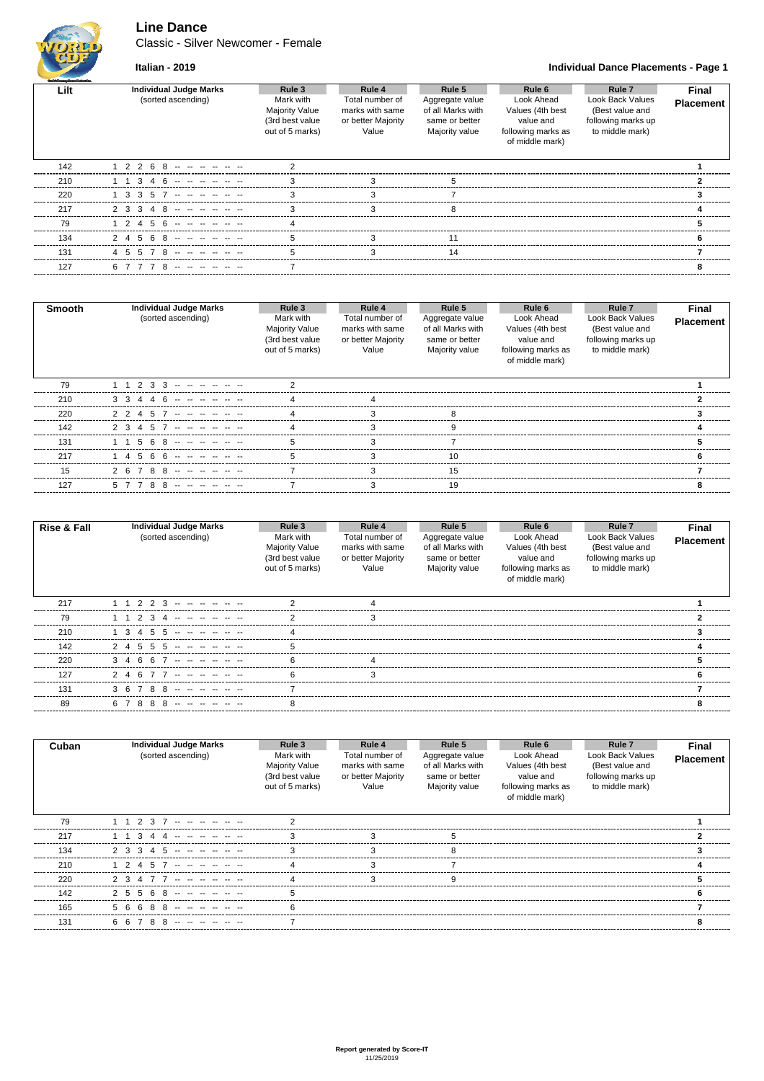# **Line Dance**

Classic - Silver Newcomer - Female



### **Italian - 2019 Individual Dance Placements - Page 1**

| Wealth Consider Corporation with the |                                                     |                                                                                    |                                                                             |                                                                                    |                                                                                                |                                                                                        |                           |
|--------------------------------------|-----------------------------------------------------|------------------------------------------------------------------------------------|-----------------------------------------------------------------------------|------------------------------------------------------------------------------------|------------------------------------------------------------------------------------------------|----------------------------------------------------------------------------------------|---------------------------|
| Lilt                                 | <b>Individual Judge Marks</b><br>(sorted ascending) | Rule 3<br>Mark with<br><b>Majority Value</b><br>(3rd best value<br>out of 5 marks) | Rule 4<br>Total number of<br>marks with same<br>or better Majority<br>Value | Rule 5<br>Aggregate value<br>of all Marks with<br>same or better<br>Majority value | Rule 6<br>Look Ahead<br>Values (4th best<br>value and<br>following marks as<br>of middle mark) | Rule 7<br>Look Back Values<br>(Best value and<br>following marks up<br>to middle mark) | Final<br><b>Placement</b> |
| 142                                  | 2 2 6 8 -- -- -- --                                 |                                                                                    |                                                                             |                                                                                    |                                                                                                |                                                                                        |                           |
| 210                                  | 34 G                                                |                                                                                    | З                                                                           | h                                                                                  |                                                                                                |                                                                                        |                           |
| 220                                  | 35<br>31                                            |                                                                                    |                                                                             |                                                                                    |                                                                                                |                                                                                        |                           |
| 217                                  | 23                                                  |                                                                                    |                                                                             |                                                                                    |                                                                                                |                                                                                        |                           |
| 79                                   | 2456                                                |                                                                                    |                                                                             |                                                                                    |                                                                                                |                                                                                        |                           |
| 134                                  | $24568 - - - - -$                                   |                                                                                    |                                                                             |                                                                                    |                                                                                                |                                                                                        | 6                         |
| 131                                  | 45578 -- - - -                                      |                                                                                    |                                                                             | 14                                                                                 |                                                                                                |                                                                                        |                           |
| 127                                  |                                                     |                                                                                    |                                                                             |                                                                                    |                                                                                                |                                                                                        |                           |
|                                      |                                                     |                                                                                    |                                                                             |                                                                                    |                                                                                                |                                                                                        |                           |

| Smooth | <b>Individual Judge Marks</b><br>(sorted ascending) | Rule 3<br>Mark with<br><b>Majority Value</b><br>(3rd best value<br>out of 5 marks) | Rule 4<br>Total number of<br>marks with same<br>or better Majority<br>Value | Rule 5<br>Aggregate value<br>of all Marks with<br>same or better<br>Majority value | Rule 6<br>Look Ahead<br>Values (4th best<br>value and<br>following marks as<br>of middle mark) | Rule <sub>7</sub><br>Look Back Values<br>(Best value and<br>following marks up<br>to middle mark) | <b>Final</b><br><b>Placement</b> |
|--------|-----------------------------------------------------|------------------------------------------------------------------------------------|-----------------------------------------------------------------------------|------------------------------------------------------------------------------------|------------------------------------------------------------------------------------------------|---------------------------------------------------------------------------------------------------|----------------------------------|
| 79     | 1 1 2 3 3                                           |                                                                                    |                                                                             |                                                                                    |                                                                                                |                                                                                                   |                                  |
| 210    | 446<br>3 <sub>3</sub>                               |                                                                                    |                                                                             |                                                                                    |                                                                                                |                                                                                                   |                                  |
| 220    | 22457                                               |                                                                                    |                                                                             |                                                                                    |                                                                                                |                                                                                                   |                                  |
| 142    | 2 3<br>457 - - - -                                  |                                                                                    |                                                                             |                                                                                    |                                                                                                |                                                                                                   |                                  |
| 131    |                                                     |                                                                                    |                                                                             |                                                                                    |                                                                                                |                                                                                                   |                                  |
| 217    | -5                                                  |                                                                                    |                                                                             |                                                                                    |                                                                                                |                                                                                                   |                                  |
| 15     | 2 6 7 8 8                                           |                                                                                    |                                                                             | 15                                                                                 |                                                                                                |                                                                                                   |                                  |
| 127    | 788 ------                                          |                                                                                    | 3                                                                           | 19                                                                                 |                                                                                                |                                                                                                   |                                  |

| <b>Rise &amp; Fall</b> | <b>Individual Judge Marks</b><br>(sorted ascending) | Rule 3<br>Mark with<br><b>Majority Value</b><br>(3rd best value<br>out of 5 marks) | Rule 4<br>Total number of<br>marks with same<br>or better Majority<br>Value | Rule 5<br>Aggregate value<br>of all Marks with<br>same or better<br>Majority value | Rule 6<br>Look Ahead<br>Values (4th best<br>value and<br>following marks as<br>of middle mark) | Rule <sub>7</sub><br>Look Back Values<br>(Best value and<br>following marks up<br>to middle mark) | <b>Final</b><br><b>Placement</b> |
|------------------------|-----------------------------------------------------|------------------------------------------------------------------------------------|-----------------------------------------------------------------------------|------------------------------------------------------------------------------------|------------------------------------------------------------------------------------------------|---------------------------------------------------------------------------------------------------|----------------------------------|
| 217                    | للمنا المتعارف المتعارف المتعارف<br>1 1 2 2 3       |                                                                                    |                                                                             |                                                                                    |                                                                                                |                                                                                                   |                                  |
| 79                     | 2 3 4                                               |                                                                                    |                                                                             |                                                                                    |                                                                                                |                                                                                                   |                                  |
| 210                    |                                                     |                                                                                    |                                                                             |                                                                                    |                                                                                                |                                                                                                   |                                  |
| 142                    | $2$ 4 5 5 5 -------                                 |                                                                                    |                                                                             |                                                                                    |                                                                                                |                                                                                                   |                                  |
| 220                    | 34667                                               |                                                                                    |                                                                             |                                                                                    |                                                                                                |                                                                                                   |                                  |
| 127                    | 24677------                                         |                                                                                    |                                                                             |                                                                                    |                                                                                                |                                                                                                   |                                  |
| 131                    | 788<br>3 R                                          |                                                                                    |                                                                             |                                                                                    |                                                                                                |                                                                                                   |                                  |
| 89                     |                                                     |                                                                                    |                                                                             |                                                                                    |                                                                                                |                                                                                                   |                                  |

| Cuban | <b>Individual Judge Marks</b><br>(sorted ascending) | Rule 3<br>Mark with<br><b>Majority Value</b><br>(3rd best value<br>out of 5 marks) | Rule 4<br>Total number of<br>marks with same<br>or better Majority<br>Value | Rule 5<br>Aggregate value<br>of all Marks with<br>same or better<br>Majority value | Rule 6<br>Look Ahead<br>Values (4th best<br>value and<br>following marks as<br>of middle mark) | Rule <sub>7</sub><br><b>Look Back Values</b><br>(Best value and<br>following marks up<br>to middle mark) | <b>Final</b><br><b>Placement</b> |
|-------|-----------------------------------------------------|------------------------------------------------------------------------------------|-----------------------------------------------------------------------------|------------------------------------------------------------------------------------|------------------------------------------------------------------------------------------------|----------------------------------------------------------------------------------------------------------|----------------------------------|
| 79    | 2 3<br><u>.</u>                                     |                                                                                    |                                                                             |                                                                                    |                                                                                                |                                                                                                          |                                  |
| 217   | 3                                                   |                                                                                    |                                                                             |                                                                                    |                                                                                                |                                                                                                          |                                  |
| 134   | 2 3<br>3                                            |                                                                                    |                                                                             |                                                                                    |                                                                                                |                                                                                                          |                                  |
| 210   | 45                                                  |                                                                                    |                                                                             |                                                                                    |                                                                                                |                                                                                                          |                                  |
| 220   | 2 <sup>3</sup><br><u>.</u>                          |                                                                                    |                                                                             |                                                                                    |                                                                                                |                                                                                                          |                                  |
| 142   | 25<br>68<br>5                                       |                                                                                    |                                                                             |                                                                                    |                                                                                                |                                                                                                          |                                  |
| 165   | 56                                                  |                                                                                    |                                                                             |                                                                                    |                                                                                                |                                                                                                          |                                  |
| 131   |                                                     |                                                                                    |                                                                             |                                                                                    |                                                                                                |                                                                                                          |                                  |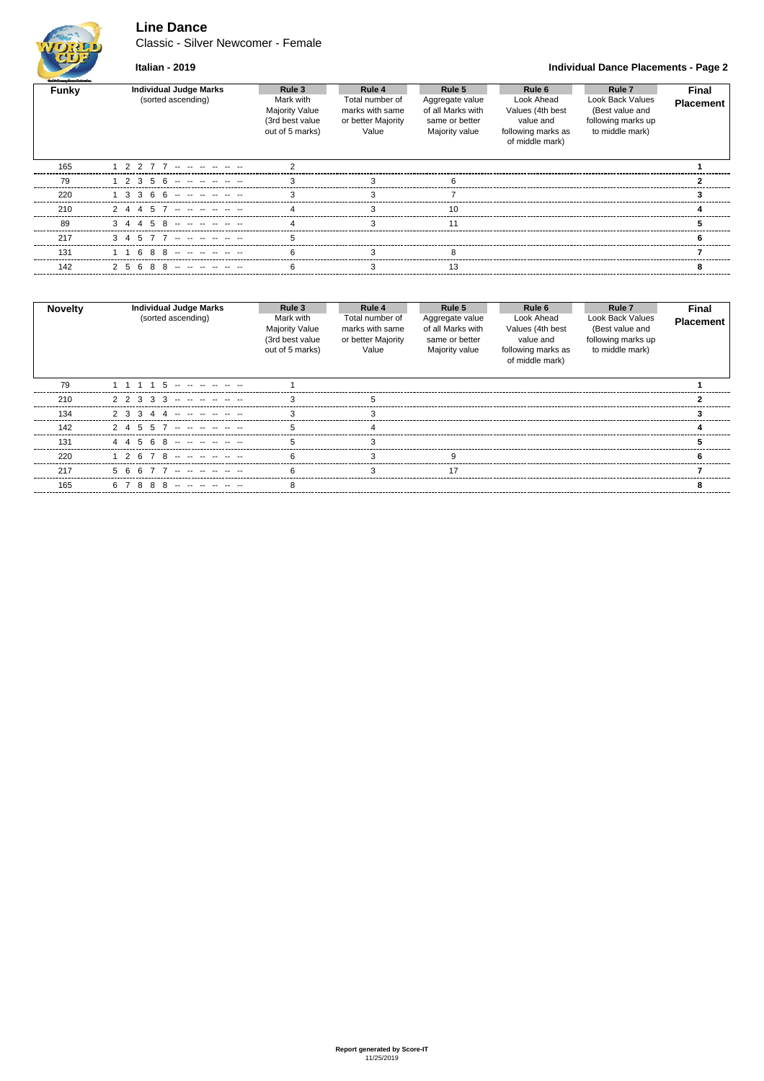# **Line Dance**

Classic - Silver Newcomer - Female



**Italian - 2019 Individual Dance Placements - Page 2**

| Guild Gauges Davas/Velension |                                                     |                                                                             |                                                                             |                                                                                    |                                                                                                |                                                                                                   |                           |
|------------------------------|-----------------------------------------------------|-----------------------------------------------------------------------------|-----------------------------------------------------------------------------|------------------------------------------------------------------------------------|------------------------------------------------------------------------------------------------|---------------------------------------------------------------------------------------------------|---------------------------|
| Funky                        | <b>Individual Judge Marks</b><br>(sorted ascending) | Rule 3<br>Mark with<br>Majority Value<br>(3rd best value<br>out of 5 marks) | Rule 4<br>Total number of<br>marks with same<br>or better Majority<br>Value | Rule 5<br>Aggregate value<br>of all Marks with<br>same or better<br>Majority value | Rule 6<br>Look Ahead<br>Values (4th best<br>value and<br>following marks as<br>of middle mark) | Rule <sub>7</sub><br>Look Back Values<br>(Best value and<br>following marks up<br>to middle mark) | Final<br><b>Placement</b> |
| 165                          | 1 2 2 7 7                                           |                                                                             |                                                                             |                                                                                    |                                                                                                |                                                                                                   |                           |
| 79                           | $1\ 2\ 3\ 5\ 6\ \dots\ \dots\ \dots$                |                                                                             |                                                                             |                                                                                    |                                                                                                |                                                                                                   |                           |
| 220                          | $3366 -$                                            |                                                                             |                                                                             |                                                                                    |                                                                                                |                                                                                                   |                           |
| 210                          |                                                     |                                                                             |                                                                             |                                                                                    |                                                                                                |                                                                                                   |                           |
| 89                           |                                                     |                                                                             |                                                                             |                                                                                    |                                                                                                |                                                                                                   |                           |
| 217                          |                                                     |                                                                             |                                                                             |                                                                                    |                                                                                                |                                                                                                   |                           |
| 131                          | 8                                                   |                                                                             |                                                                             |                                                                                    |                                                                                                |                                                                                                   |                           |
| 142                          |                                                     |                                                                             |                                                                             |                                                                                    |                                                                                                |                                                                                                   |                           |
|                              |                                                     |                                                                             |                                                                             |                                                                                    |                                                                                                |                                                                                                   |                           |

| <b>Novelty</b> | <b>Individual Judge Marks</b><br>(sorted ascending) | Rule 3<br>Mark with<br>Majority Value<br>(3rd best value<br>out of 5 marks) | Rule 4<br>Total number of<br>marks with same<br>or better Majority<br>Value | Rule 5<br>Aggregate value<br>of all Marks with<br>same or better<br>Majority value | Rule 6<br>Look Ahead<br>Values (4th best<br>value and<br>following marks as<br>of middle mark) | Rule 7<br><b>Look Back Values</b><br>(Best value and<br>following marks up<br>to middle mark) | <b>Final</b><br><b>Placement</b> |
|----------------|-----------------------------------------------------|-----------------------------------------------------------------------------|-----------------------------------------------------------------------------|------------------------------------------------------------------------------------|------------------------------------------------------------------------------------------------|-----------------------------------------------------------------------------------------------|----------------------------------|
| 79             |                                                     |                                                                             |                                                                             |                                                                                    |                                                                                                |                                                                                               |                                  |
| 210            | 2 2 3 3<br>3<br>$\sim$ $\sim$                       |                                                                             |                                                                             |                                                                                    |                                                                                                |                                                                                               |                                  |
| 134            |                                                     |                                                                             |                                                                             |                                                                                    |                                                                                                |                                                                                               |                                  |
| 142            | 55                                                  |                                                                             |                                                                             |                                                                                    |                                                                                                |                                                                                               |                                  |
| 131            |                                                     |                                                                             |                                                                             |                                                                                    |                                                                                                |                                                                                               |                                  |
| 220            | 67 R<br>- 2                                         |                                                                             |                                                                             |                                                                                    |                                                                                                |                                                                                               |                                  |
| 217            | 56                                                  |                                                                             |                                                                             | 17                                                                                 |                                                                                                |                                                                                               |                                  |
| 165            | 88<br>-8<br>67<br>$-1$ $-1$                         |                                                                             |                                                                             |                                                                                    |                                                                                                |                                                                                               |                                  |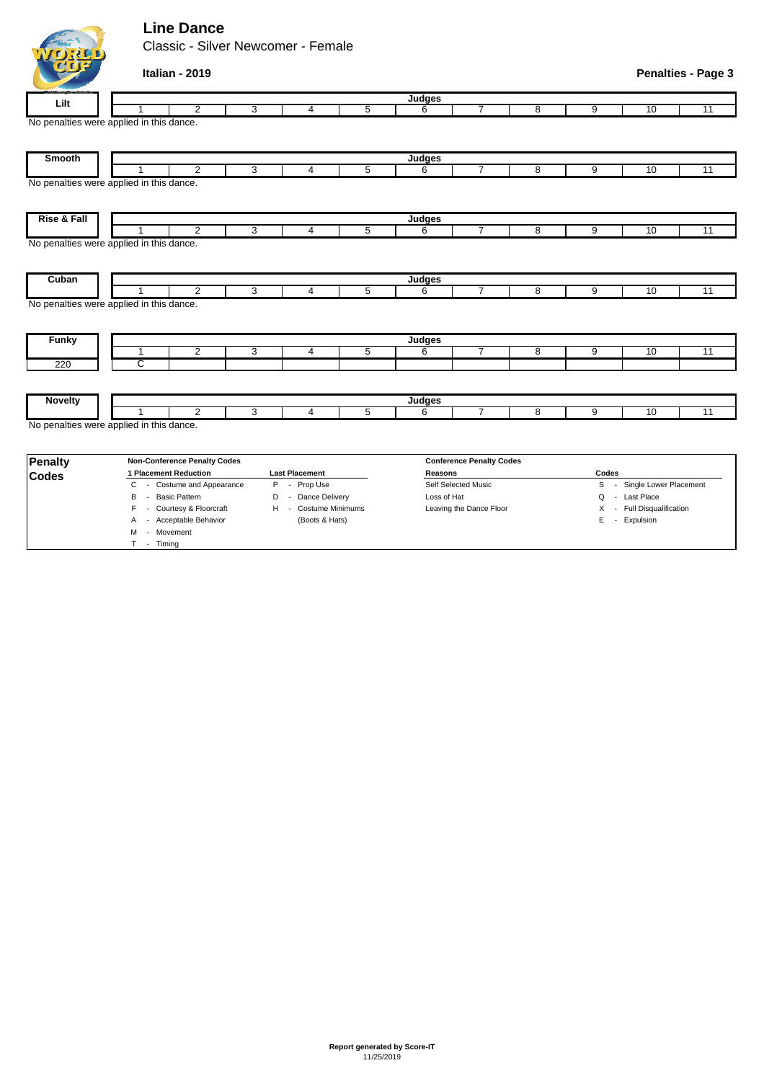# **Line Dance**

M - Movement T - Timing

Classic - Silver Newcomer - Female

|                                                   | Italian - 2019        |                                     |   |                       |   |             |                                 |   |       |                            | <b>Penalties - Page 3</b> |
|---------------------------------------------------|-----------------------|-------------------------------------|---|-----------------------|---|-------------|---------------------------------|---|-------|----------------------------|---------------------------|
| Lilt                                              |                       |                                     |   |                       |   | Judges      |                                 |   |       |                            |                           |
|                                                   |                       | $\overline{2}$                      | 3 | 4                     | 5 | 6           | 7                               | 8 | 9     | 10                         | $\overline{11}$           |
| No penalties were applied in this dance.          |                       |                                     |   |                       |   |             |                                 |   |       |                            |                           |
| Smooth                                            |                       |                                     |   |                       |   | Judges      |                                 |   |       |                            |                           |
|                                                   |                       | $\overline{2}$                      | 3 | $\overline{4}$        | 5 | 6           | $\overline{7}$                  | 8 | 9     | 10                         | $\overline{11}$           |
| No penalties were applied in this dance.          |                       |                                     |   |                       |   |             |                                 |   |       |                            |                           |
| Rise & Fall                                       |                       |                                     |   |                       |   | Judges      |                                 |   |       |                            |                           |
|                                                   |                       | $\overline{2}$                      | 3 | $\overline{4}$        | 5 | 6           | $\overline{7}$                  | 8 | 9     | 10                         | 11                        |
| No penalties were applied in this dance.          |                       |                                     |   |                       |   |             |                                 |   |       |                            |                           |
| Cuban                                             |                       |                                     |   |                       |   | Judges      |                                 |   |       |                            |                           |
|                                                   | 1                     | $\overline{2}$                      | 3 | $\overline{4}$        | 5 | 6           | $\overline{7}$                  | 8 | 9     | 10                         | 11                        |
| No penalties were applied in this dance.<br>Funky |                       |                                     |   |                       |   | Judges      |                                 |   |       |                            |                           |
|                                                   | 1                     | 2                                   | 3 | $\overline{4}$        | 5 | 6           | $\overline{7}$                  | 8 | 9     | 10                         | $\overline{11}$           |
| 220                                               | ट                     |                                     |   |                       |   |             |                                 |   |       |                            |                           |
|                                                   |                       |                                     |   |                       |   |             |                                 |   |       |                            |                           |
| <b>Novelty</b>                                    |                       |                                     |   |                       |   | Judges      |                                 |   |       |                            |                           |
|                                                   | 1                     | $\overline{2}$                      | 3 | $\overline{4}$        | 5 | 6           | $\overline{7}$                  | 8 | 9     | 10                         | $\overline{11}$           |
| No penalties were applied in this dance.          |                       |                                     |   |                       |   |             |                                 |   |       |                            |                           |
| <b>Penalty</b>                                    |                       | <b>Non-Conference Penalty Codes</b> |   |                       |   |             | <b>Conference Penalty Codes</b> |   |       |                            |                           |
| <b>Codes</b>                                      | 1 Placement Reduction |                                     |   | <b>Last Placement</b> |   | Reasons     |                                 |   | Codes |                            |                           |
|                                                   | C                     | - Costume and Appearance            |   | P - Prop Use          |   |             | Self Selected Music             |   |       | S - Single Lower Placement |                           |
|                                                   | - Basic Pattern<br>B  |                                     | D | - Dance Delivery      |   | Loss of Hat |                                 |   | Q     | - Last Place               |                           |
|                                                   | F                     | - Courtesy & Floorcraft             | H | - Costume Minimums    |   |             | Leaving the Dance Floor         |   |       | X - Full Disqualification  |                           |
|                                                   |                       | A - Acceptable Behavior             |   | (Boots & Hats)        |   |             |                                 |   |       | E - Expulsion              |                           |